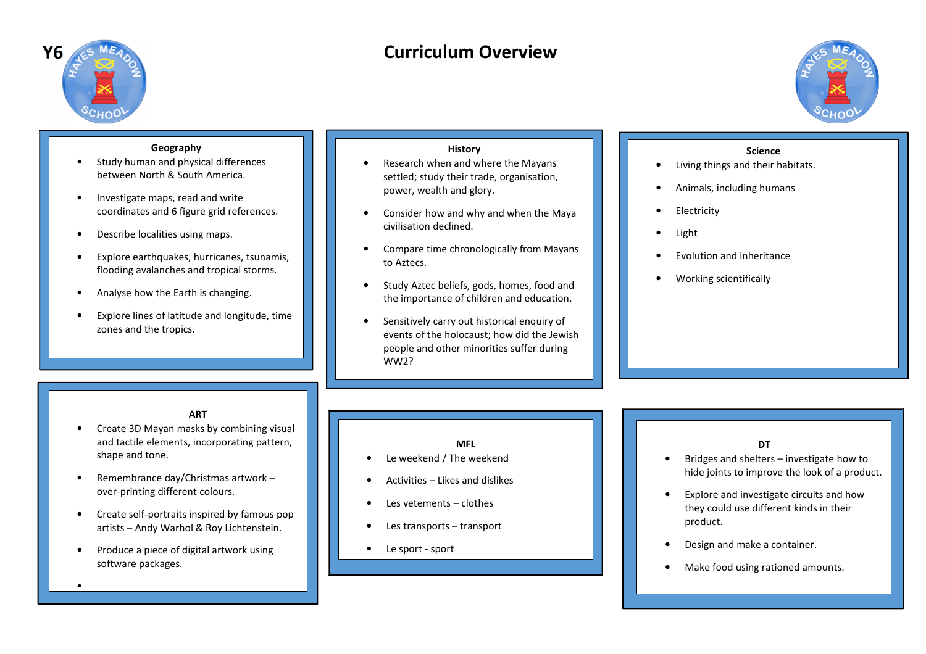

# **Curriculum Overview**



# **Geography**

- **•** Study human and physical differences •between North & South America.
- • Investigate maps, read and write coordinates and 6 figure grid references.
- •Describe localities using maps.
- • Explore earthquakes, hurricanes, tsunamis, flooding avalanches and tropical storms.
- •Analyse how the Earth is changing.
- • Explore lines of latitude and longitude, time zones and the tropics.

## **History**

- Research when and where the Mayans •settled; study their trade, organisation, power, wealth and glory.
- • Consider how and why and when the Maya civilisation declined.
- • Compare time chronologically from Mayans to Aztecs.
- • Study Aztec beliefs, gods, homes, food and the importance of children and education.
- • Sensitively carry out historical enquiry of events of the holocaust; how did the Jewish people and other minorities suffer during WW2?

#### **Science**

- Living things and their habitats. •
- •Animals, including humans
- •Electricity
- •Light
- •Evolution and inheritance
- •Working scientifically

## **ART**

- Create 3D Mayan masks by combining visual •and tactile elements, incorporating pattern, shape and tone.
- • Remembrance day/Christmas artwork – over-printing different colours.
- • Create self-portraits inspired by famous pop artists – Andy Warhol & Roy Lichtenstein.
- • Produce a piece of digital artwork using software packages.

•

## **MFL**

- Le weekend / The weekend
- •Activities – Likes and dislikes
- •Les vetements – clothes
- •Les transports – transport
- •Le sport - sport

•

## **DT**

- Bridges and shelters investigate how to •hide joints to improve the look of a product.
- • Explore and investigate circuits and how they could use different kinds in their product.
- •Design and make a container.
- •Make food using rationed amounts.